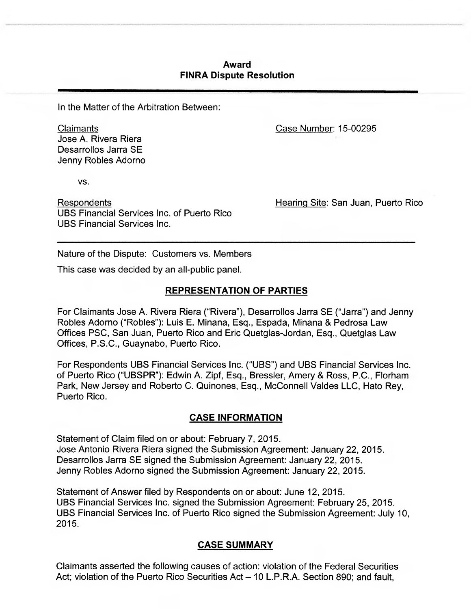# **Award FINRA Dispute Resolution**

In the Matter of the Arbitration Between:

Claimants Jose A. Rivera Riera Desarrollos Jarra SE Jenny Robles Adomo

VS.

Respondents UBS Financial Services Inc. of Puerto Rico UBS Financial Services Inc.

Case Number: 15-00295

Hearing Site: San Juan, Puerto Rico

Nature of the Dispute: Customers vs. Members

This case was decided by an all-public panel.

# **REPRESENTATION OF PARTIES**

For Claimants Jose A. Rivera Riera ("Rivera"), Desarrollos Jarra SE ("Jarra") and Jenny Robles Adorno ("Robles"): Luis E. Minana, Esq., Espada, Minana & Pedrosa Law Offices PSC, San Juan, Puerto Rico and Eric Quetglas-Jordan, Esq., Quetglas Law Offices, P.S.C., Guaynabo, Puerto Rico.

For Respondents UBS Financial Services Inc. ("UBS") and UBS Financial Services Inc. of Puerto Rico ("UBSPR"): Edwin A. Zipf, Esq., Bressler, Amery & Ross, P.C., Florham Park, New Jersey and Roberto C. Quinones, Esq., McConnell Valdes LLC, Hato Rey, Puerto Rico.

# **CASE INFORMATION**

Statement of Claim filed on or about: February 7, 2015. Jose Antonio Rivera Riera signed the Submission Agreement: January 22, 2015. Desarrollos Jarra SE signed the Submission Agreement: January 22, 2015. Jenny Robles Adorno signed the Submission Agreement: January 22, 2015.

Statement of Answer filed by Respondents on or about: June 12, 2015. UBS Financial Services Inc. signed the Submission Agreement: February 25, 2015. UBS Financial Services Inc. of Puerto Rico signed the Submission Agreement: July 10, 2015.

# **CASE SUMMARY**

Claimants asserted the following causes of action: violation of the Federal Securities Act; violation of the Puerto Rico Securities Act — 10 L.P.R.A. Section 890; and fault,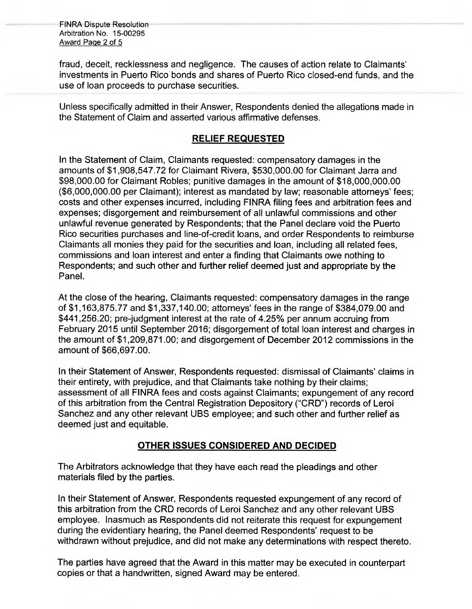FINRA Dispute Resolution Arbitration No. 15-00295 Award Page 2 of 5

fraud, deceit, recklessness and negligence. The causes of action relate to Claimants' investments in Puerto Rico bonds and shares of Puerto Rico closed-end funds, and the use of loan proceeds to purchase securities.

Unless specifically admitted in their Answer, Respondents denied the allegations made in the Statement of Claim and asserted various affirmative defenses.

### **RELIEF REQUESTED**

In the Statement of Claim, Claimants requested: compensatory damages in the amounts of \$1,908,547.72 for Claimant Rivera, \$530,000.00 for Claimant Jarra and \$98,000.00 for Claimant Robles; punitive damages in the amount of \$18,000,000.00 (\$6,000,000.00 per Claimant); interest as mandated by law; reasonable attorneys fees; costs and other expenses incurred, including FINRA filing fees and arbitration fees and expenses; disgorgement and reimbursement of all unlawful commissions and other unlawful revenue generated by Respondents; that the Panel declare void the Puerto Rico securities purchases and line-of-credit loans, and order Respondents to reimburse Claimants all monies they paid for the securities and loan, including all related fees, commissions and loan interest and enter a finding that Claimants owe nothing to Respondents; and such other and further relief deemed just and appropriate by the Panel.

At the close of the hearing, Claimants requested: compensatory damages in the range of \$1,163,875.77 and \$1,337,140.00; attorneys' fees in the range of \$384,079.00 and \$441,256.20; pre-judgment interest at the rate of 4.25% per annum accruing from February 2015 until September 2016; disgorgement of total loan interest and charges in the amount of \$1,209,871.00; and disgorgement of December 2012 commissions in the amount of \$66,697.00.

In their Statement of Answer, Respondents requested: dismissal of Claimants' claims in their entirety, with prejudice, and that Claimants take nothing by their claims; assessment of all FINRA fees and costs against Claimants; expungement of any record of this arbitration from the Central Registration Depository ("CRD") records of Leroi Sanchez and any other relevant UBS employee; and such other and further relief as deemed just and equitable.

# **OTHER ISSUES CONSIDERED AND DECIDED**

The Arbitrators acknowledge that they have each read the pleadings and other materials filed by the parties.

In their Statement of Answer, Respondents requested expungement of any record of this arbitration from the CRD records of Leroi Sanchez and any other relevant UBS employee. Inasmuch as Respondents did not reiterate this request for expungement during the evidentiary hearing, the Panel deemed Respondents' request to be withdrawn without prejudice, and did not make any determinations with respect thereto.

The parties have agreed that the Award in this matter may be executed in counterpart copies or that a handwritten, signed Award may be entered.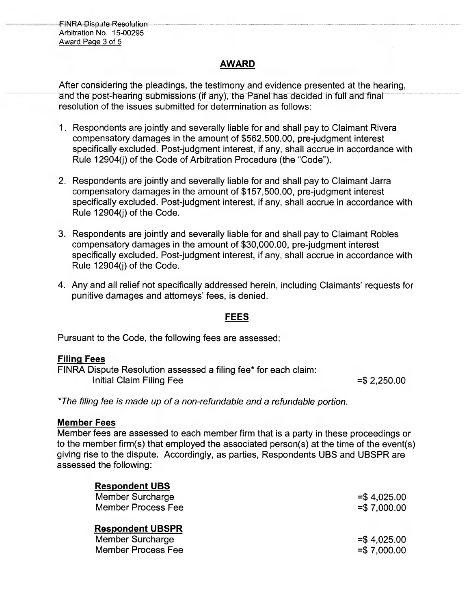FINRA Dispute Resolution Arbitration No. 15-00295 Award Paqe 3 of 5

### **AWARD**

After considering the pleadings, the testimony and evidence presented at the hearing, and the post-hearing submissions (if any), the Panel has decided in full and final resolution of the issues submitted for determination as follows:

- 1. Respondents are jointly and severally liable for and shall pay to Claimant Rivera compensatory damages in the amount of \$562,500.00, pre-judgment interest specifically excluded. Post-judgment interest, if any, shall accrue in accordance with Rule 12904(j) of the Code of Arbitration Procedure (the "Code").
- 2. Respondents are jointly and severally liable for and shall pay to Claimant Jarra compensatory damages in the amount of \$157,500.00, pre-judgment interest specifically excluded. Post-judgment interest, if any, shall accrue in accordance with Rule 12904(j) of the Code.
- 3. Respondents are jointly and severally liable for and shall pay to Claimant Robles compensatory damages in the amount of \$30,000.00, pre-judgment interest specifically excluded. Post-judgment interest, if any, shall accrue in accordance with Rule 12904(j) of the Code.
- 4. Any and all relief not specifically addressed herein, including Claimants' requests for punitive damages and attorneys' fees, is denied.

### **FEES**

Pursuant to the Code, the following fees are assessed:

### **Filing Fees**

| FINRA Dispute Resolution assessed a filing fee* for each claim: |                |
|-----------------------------------------------------------------|----------------|
| Initial Claim Filing Fee                                        | $=$ \$2,250.00 |

*\*The filing fee is made up of a non-refundable and a refundable portion.* 

### **Member Fees**

Member fees are assessed to each member firm that is a party in these proceedings or to the member firm(s) that employed the associated person(s) at the time of the event(s) giving rise to the dispute. Accordingly, as parties, Respondents UBS and **UBSPR** are assessed the following:

| <b>Respondent UBS</b>                                                           |                                |
|---------------------------------------------------------------------------------|--------------------------------|
| <b>Member Surcharge</b>                                                         | $= $4,025.00$                  |
| <b>Member Process Fee</b>                                                       | $= $7,000.00$                  |
| <b>Respondent UBSPR</b><br><b>Member Surcharge</b><br><b>Member Process Fee</b> | $= $4,025.00$<br>$= $7,000.00$ |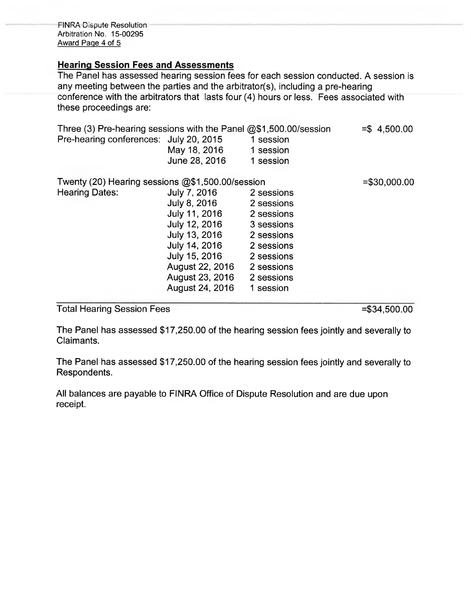FINRA Dispute Resolution Arbitration No. 15-00295 Award Page 4 of 5

### **Hearing Session Fees and Assessments**

The Panel has assessed hearing session fees for each session conducted. A session is any meeting between the parties and the arbitrator(s), including a pre-hearing conference with the arbitrators that lasts four (4) hours or less. Fees associated with these proceedings are:

| Three (3) Pre-hearing sessions with the Panel $@$1,500.00/s$ ession<br>Pre-hearing conferences: July 20, 2015 | May 18, 2016<br>June 28, 2016 | 1 session<br>1 session<br>1 session | $= $4,500.00$  |
|---------------------------------------------------------------------------------------------------------------|-------------------------------|-------------------------------------|----------------|
| Twenty (20) Hearing sessions $@$1,500.00/s$ ession                                                            |                               |                                     | $= $30,000.00$ |
| <b>Hearing Dates:</b>                                                                                         | July 7, 2016                  | 2 sessions                          |                |
|                                                                                                               | July 8, 2016                  | 2 sessions                          |                |
|                                                                                                               | July 11, 2016                 | 2 sessions                          |                |
|                                                                                                               | July 12, 2016                 | 3 sessions                          |                |
|                                                                                                               | July 13, 2016                 | 2 sessions                          |                |
|                                                                                                               | July 14, 2016                 | 2 sessions                          |                |
|                                                                                                               | July 15, 2016                 | 2 sessions                          |                |
|                                                                                                               | August 22, 2016               | 2 sessions                          |                |
|                                                                                                               | August 23, 2016               | 2 sessions                          |                |
|                                                                                                               | August 24, 2016               | 1 session                           |                |

Total Hearing Session Fees =  $\frac{1}{100}$  = \$34,500.00

The Panel has assessed \$17,250.00 of the hearing session fees jointly and severally to Claimants.

The Panel has assessed \$17,250.00 of the hearing session fees jointly and severally to Respondents.

All balances are payable to FINRA Office of Dispute Resolution and are due upon receipt.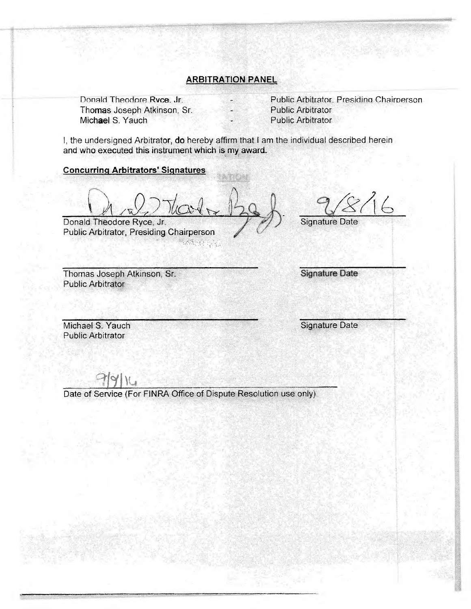### **ARBITRATION PANEL**

Donald Theodore Ryce, Jr. Thomas Joseph Atkinson, Sr. Michael S. Yauch

Public Arbitrator, Presidino Chairperson Public Arbitrator Public Arbitrator

I, the undersigned Arbitrator, **do** hereby affirm that I am the individual described herein and who executed this instrument which is my award.

#### **Concurring Arbitrators' Signatures**

Donald Theodore Ryce, Jr.

Public Arbitrator, Presiding Chairperson

Signature Date

Thomas Joseph Atkinson, Sr. Public Arbitrator

**Signature Date** 

Public Arbitrator

Michael S. Yauch Signature Date

Date of Service (For FINRA Office of Dispute Resolution use only)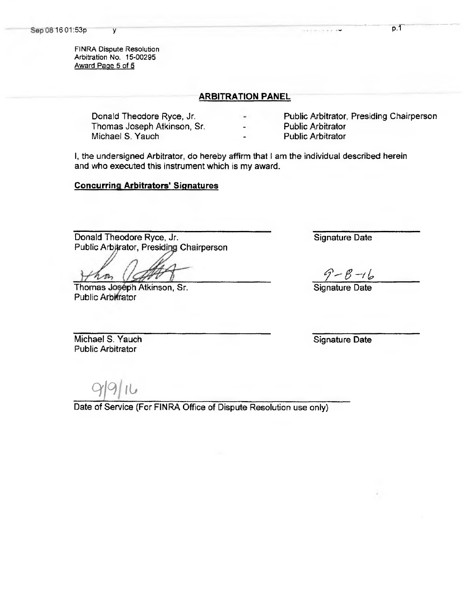FINRA Dispute Resolution Arbitration No. 15-00295 Award Page 5 of 5

#### **ARBITRATION PANEL**

Thomas Joseph Atkinson, Sr. **Public Arbitrator** Michael S. Yauch **Public Arbitrator** 

Donald Theodore Ryce, Jr. **Public Arbitrator**, Presiding Chairperson

l, the undersigned Arbitrator, do hereby affirm that l am the individual described herein and who executed this instrument which is my award.

#### **Concurring Arbitrators' Signatures**

Donald Theodore Ryce, Jr. Public Arbitrator, Presiding Chairperson

Thomas Joséph Atkinson, Sr. Public Arbitrator

Signature Date

 $9 - 8 - 16$ 

Signature Date

Michael S. Yauch Public Arbitrator

Signature Date

 $99$ 

Date of Service (For FINRA Office of Dispute Resolution use only)